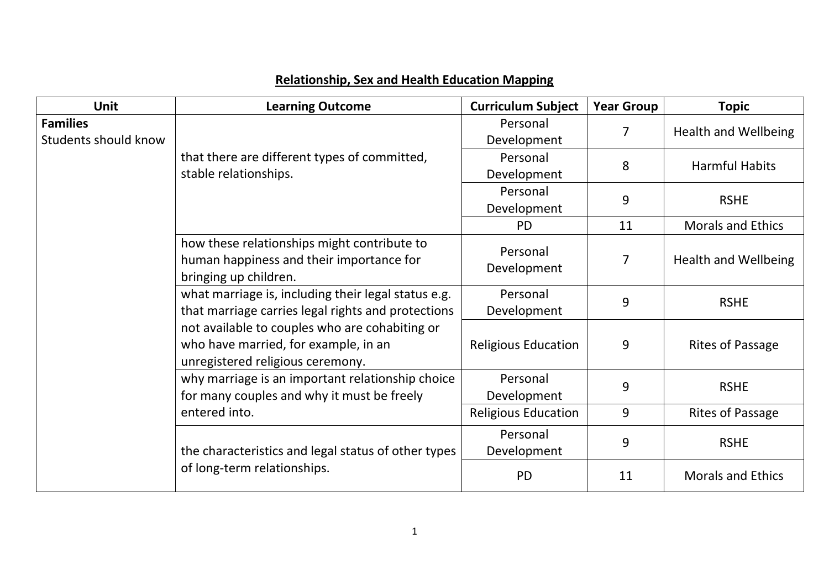| <b>Unit</b>                                    | <b>Learning Outcome</b>                                                                                                    | <b>Curriculum Subject</b>  | <b>Year Group</b> | <b>Topic</b>                |
|------------------------------------------------|----------------------------------------------------------------------------------------------------------------------------|----------------------------|-------------------|-----------------------------|
| <b>Families</b><br><b>Students should know</b> |                                                                                                                            | Personal<br>Development    | 7                 | <b>Health and Wellbeing</b> |
|                                                | that there are different types of committed,<br>stable relationships.                                                      | Personal<br>Development    | 8                 | <b>Harmful Habits</b>       |
|                                                |                                                                                                                            | Personal<br>Development    | 9                 | <b>RSHE</b>                 |
|                                                |                                                                                                                            | <b>PD</b>                  | 11                | <b>Morals and Ethics</b>    |
|                                                | how these relationships might contribute to<br>human happiness and their importance for<br>bringing up children.           | Personal<br>Development    | $\overline{7}$    | Health and Wellbeing        |
|                                                | what marriage is, including their legal status e.g.<br>that marriage carries legal rights and protections                  | Personal<br>Development    | 9                 | <b>RSHE</b>                 |
|                                                | not available to couples who are cohabiting or<br>who have married, for example, in an<br>unregistered religious ceremony. | <b>Religious Education</b> | 9                 | <b>Rites of Passage</b>     |
|                                                | why marriage is an important relationship choice<br>for many couples and why it must be freely                             | Personal<br>Development    | 9                 | <b>RSHE</b>                 |
|                                                | entered into.                                                                                                              | <b>Religious Education</b> | 9                 | <b>Rites of Passage</b>     |
|                                                | the characteristics and legal status of other types                                                                        | Personal<br>Development    | 9                 | <b>RSHE</b>                 |
|                                                | of long-term relationships.                                                                                                | <b>PD</b>                  | 11                | <b>Morals and Ethics</b>    |

## **Relationship, Sex and Health Education Mapping**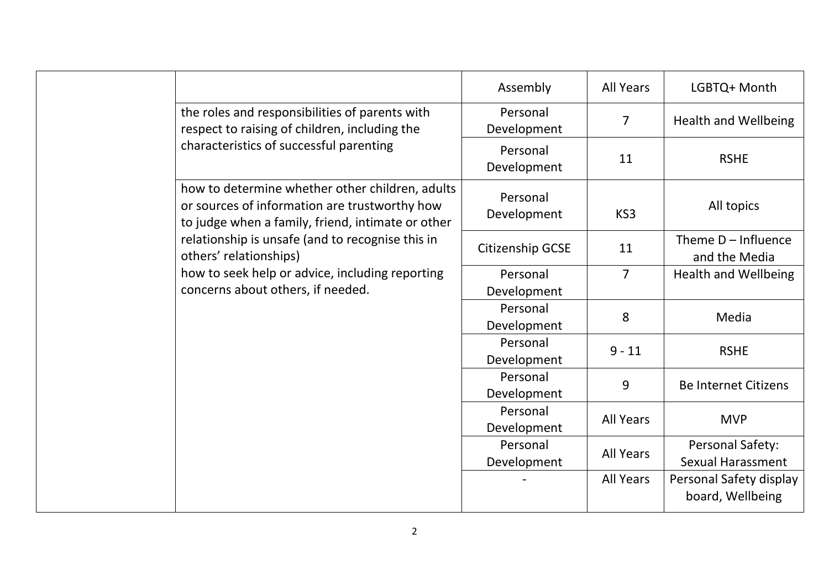|                                                                                                                                                       | Assembly                | <b>All Years</b> | LGBTQ+ Month                                 |
|-------------------------------------------------------------------------------------------------------------------------------------------------------|-------------------------|------------------|----------------------------------------------|
| the roles and responsibilities of parents with<br>respect to raising of children, including the                                                       | Personal<br>Development | $\overline{7}$   | <b>Health and Wellbeing</b>                  |
| characteristics of successful parenting                                                                                                               | Personal<br>Development | 11               | <b>RSHE</b>                                  |
| how to determine whether other children, adults<br>or sources of information are trustworthy how<br>to judge when a family, friend, intimate or other | Personal<br>Development | KS3              | All topics                                   |
| relationship is unsafe (and to recognise this in<br>others' relationships)                                                                            | <b>Citizenship GCSE</b> | 11               | Theme $D - Influence$<br>and the Media       |
| how to seek help or advice, including reporting<br>concerns about others, if needed.                                                                  | Personal<br>Development | $\overline{7}$   | <b>Health and Wellbeing</b>                  |
|                                                                                                                                                       | Personal<br>Development | 8                | Media                                        |
|                                                                                                                                                       | Personal<br>Development | $9 - 11$         | <b>RSHE</b>                                  |
|                                                                                                                                                       | Personal<br>Development | 9                | <b>Be Internet Citizens</b>                  |
|                                                                                                                                                       | Personal<br>Development | <b>All Years</b> | <b>MVP</b>                                   |
|                                                                                                                                                       | Personal<br>Development | <b>All Years</b> | Personal Safety:<br><b>Sexual Harassment</b> |
|                                                                                                                                                       |                         | <b>All Years</b> | Personal Safety display<br>board, Wellbeing  |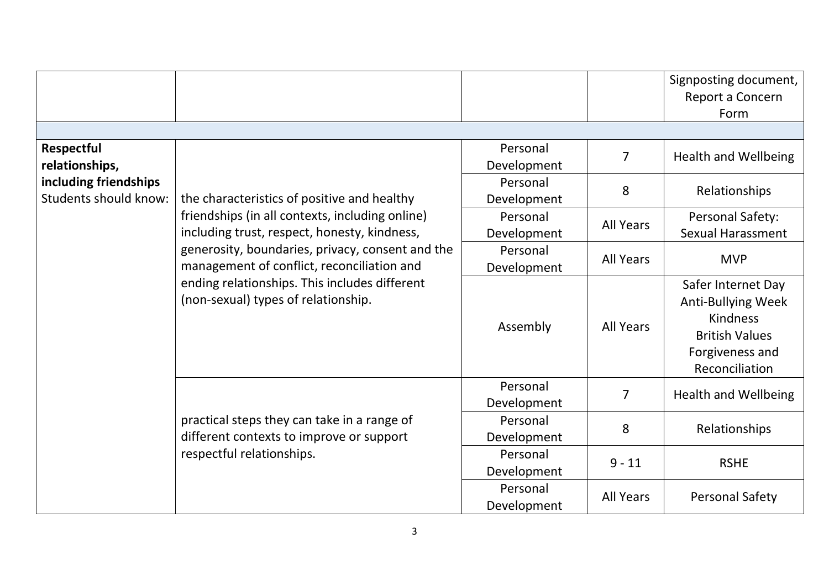|                                                |                                                                                                                                                                                                                                                                                           |                         |                  | Signposting document,<br>Report a Concern<br>Form                                                                                |
|------------------------------------------------|-------------------------------------------------------------------------------------------------------------------------------------------------------------------------------------------------------------------------------------------------------------------------------------------|-------------------------|------------------|----------------------------------------------------------------------------------------------------------------------------------|
| <b>Respectful</b><br>relationships,            |                                                                                                                                                                                                                                                                                           | Personal<br>Development | $\overline{7}$   | <b>Health and Wellbeing</b>                                                                                                      |
| including friendships<br>Students should know: | the characteristics of positive and healthy                                                                                                                                                                                                                                               | Personal<br>Development | 8                | Relationships                                                                                                                    |
|                                                | friendships (in all contexts, including online)<br>including trust, respect, honesty, kindness,<br>generosity, boundaries, privacy, consent and the<br>management of conflict, reconciliation and<br>ending relationships. This includes different<br>(non-sexual) types of relationship. | Personal<br>Development | <b>All Years</b> | Personal Safety:<br><b>Sexual Harassment</b>                                                                                     |
|                                                |                                                                                                                                                                                                                                                                                           | Personal<br>Development | <b>All Years</b> | <b>MVP</b>                                                                                                                       |
|                                                |                                                                                                                                                                                                                                                                                           | Assembly                | <b>All Years</b> | Safer Internet Day<br><b>Anti-Bullying Week</b><br><b>Kindness</b><br><b>British Values</b><br>Forgiveness and<br>Reconciliation |
|                                                |                                                                                                                                                                                                                                                                                           | Personal<br>Development | $\overline{7}$   | <b>Health and Wellbeing</b>                                                                                                      |
|                                                | practical steps they can take in a range of<br>different contexts to improve or support                                                                                                                                                                                                   | Personal<br>Development | 8                | Relationships                                                                                                                    |
|                                                | respectful relationships.                                                                                                                                                                                                                                                                 | Personal<br>Development | $9 - 11$         | <b>RSHE</b>                                                                                                                      |
|                                                |                                                                                                                                                                                                                                                                                           | Personal<br>Development | <b>All Years</b> | <b>Personal Safety</b>                                                                                                           |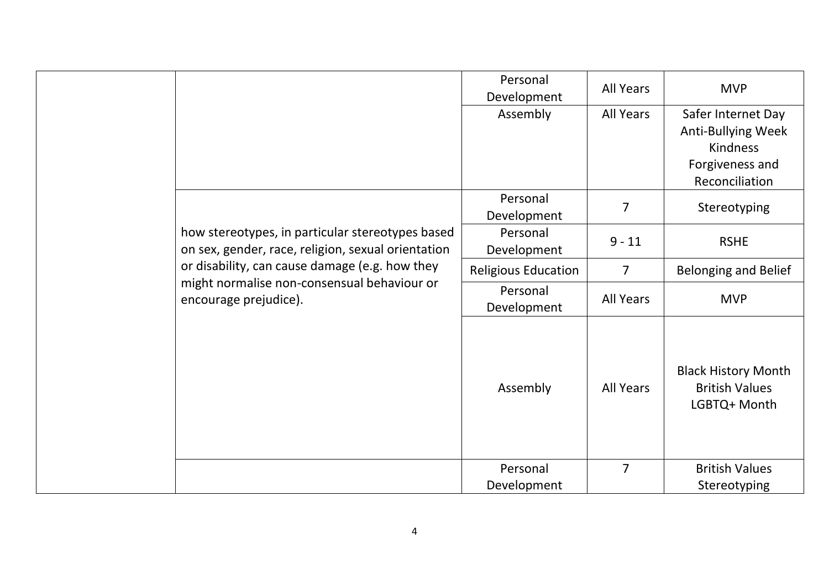|  |                                                                                                                                                          | Personal<br>Development    | <b>All Years</b> | <b>MVP</b>                                                                                       |
|--|----------------------------------------------------------------------------------------------------------------------------------------------------------|----------------------------|------------------|--------------------------------------------------------------------------------------------------|
|  |                                                                                                                                                          | Assembly                   | All Years        | Safer Internet Day<br>Anti-Bullying Week<br><b>Kindness</b><br>Forgiveness and<br>Reconciliation |
|  |                                                                                                                                                          | Personal<br>Development    | $\overline{7}$   | Stereotyping                                                                                     |
|  | how stereotypes, in particular stereotypes based<br>on sex, gender, race, religion, sexual orientation<br>or disability, can cause damage (e.g. how they | Personal<br>Development    | $9 - 11$         | <b>RSHE</b>                                                                                      |
|  |                                                                                                                                                          | <b>Religious Education</b> | $\overline{7}$   | <b>Belonging and Belief</b>                                                                      |
|  | might normalise non-consensual behaviour or<br>encourage prejudice).                                                                                     | Personal<br>Development    | <b>All Years</b> | <b>MVP</b>                                                                                       |
|  |                                                                                                                                                          | Assembly                   | <b>All Years</b> | <b>Black History Month</b><br><b>British Values</b><br>LGBTQ+ Month                              |
|  |                                                                                                                                                          | Personal<br>Development    | $\overline{7}$   | <b>British Values</b><br>Stereotyping                                                            |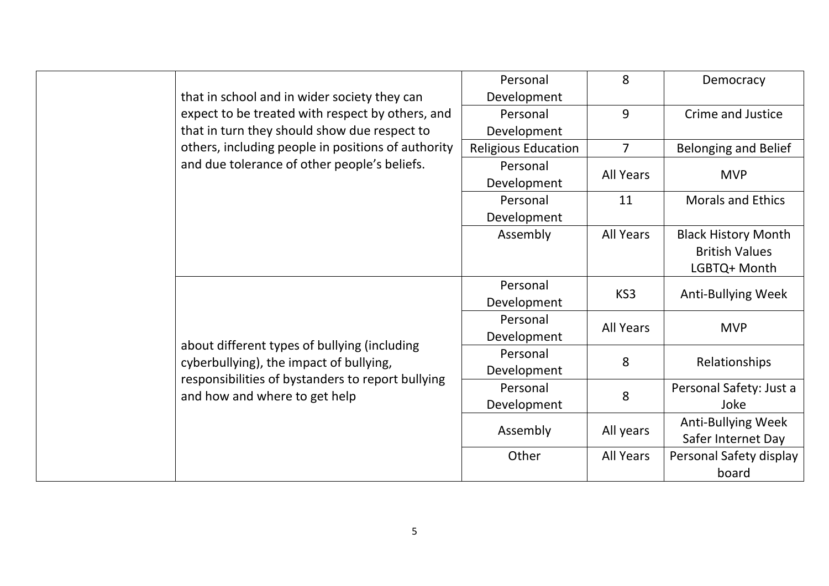|  |                                                                                         | Personal                   | 8                | Democracy                   |
|--|-----------------------------------------------------------------------------------------|----------------------------|------------------|-----------------------------|
|  | that in school and in wider society they can                                            | Development                |                  |                             |
|  | expect to be treated with respect by others, and                                        | Personal                   | 9                | <b>Crime and Justice</b>    |
|  | that in turn they should show due respect to                                            | Development                |                  |                             |
|  | others, including people in positions of authority                                      | <b>Religious Education</b> | $\overline{7}$   | <b>Belonging and Belief</b> |
|  | and due tolerance of other people's beliefs.                                            | Personal                   |                  |                             |
|  |                                                                                         | Development                | <b>All Years</b> | <b>MVP</b>                  |
|  |                                                                                         | Personal                   | 11               | <b>Morals and Ethics</b>    |
|  |                                                                                         | Development                |                  |                             |
|  |                                                                                         | Assembly                   | <b>All Years</b> | <b>Black History Month</b>  |
|  |                                                                                         |                            |                  | <b>British Values</b>       |
|  |                                                                                         |                            |                  | LGBTQ+ Month                |
|  |                                                                                         | Personal                   | KS3              |                             |
|  |                                                                                         | Development                |                  | <b>Anti-Bullying Week</b>   |
|  |                                                                                         | Personal                   | <b>All Years</b> |                             |
|  |                                                                                         | Development                |                  | <b>MVP</b>                  |
|  | about different types of bullying (including<br>cyberbullying), the impact of bullying, | Personal                   | 8                | Relationships               |
|  | responsibilities of bystanders to report bullying                                       | Development                |                  |                             |
|  | and how and where to get help                                                           | Personal                   | 8                | Personal Safety: Just a     |
|  |                                                                                         | Development                |                  | Joke                        |
|  |                                                                                         | Assembly                   | All years        | Anti-Bullying Week          |
|  |                                                                                         |                            |                  | Safer Internet Day          |
|  |                                                                                         | Other                      | <b>All Years</b> | Personal Safety display     |
|  |                                                                                         |                            |                  | board                       |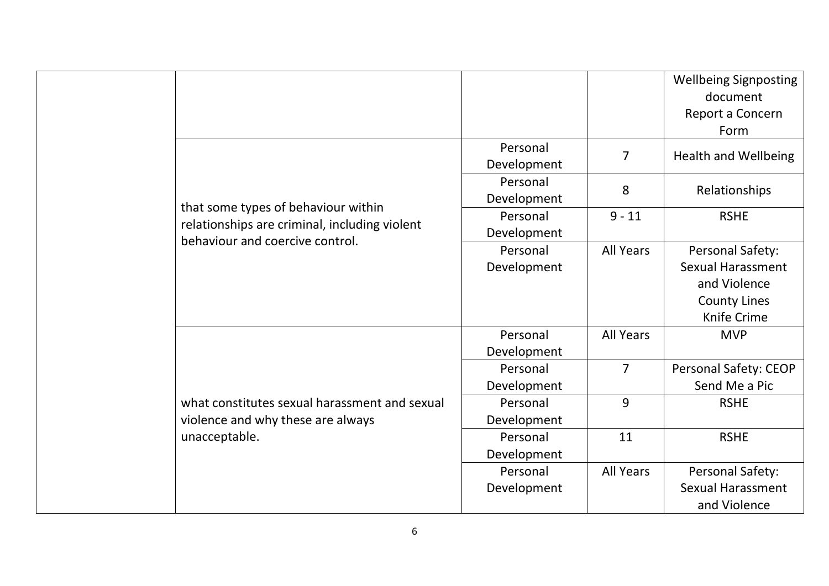|  |                                               |             |                  | <b>Wellbeing Signposting</b> |
|--|-----------------------------------------------|-------------|------------------|------------------------------|
|  |                                               |             |                  | document                     |
|  |                                               |             |                  | Report a Concern             |
|  |                                               |             |                  | Form                         |
|  |                                               | Personal    | $\overline{7}$   |                              |
|  |                                               | Development |                  | <b>Health and Wellbeing</b>  |
|  |                                               | Personal    |                  |                              |
|  |                                               | Development | 8                | Relationships                |
|  | that some types of behaviour within           | Personal    | $9 - 11$         | <b>RSHE</b>                  |
|  | relationships are criminal, including violent | Development |                  |                              |
|  | behaviour and coercive control.               | Personal    | <b>All Years</b> | Personal Safety:             |
|  |                                               | Development |                  | <b>Sexual Harassment</b>     |
|  |                                               |             |                  | and Violence                 |
|  |                                               |             |                  | <b>County Lines</b>          |
|  |                                               |             |                  | Knife Crime                  |
|  |                                               | Personal    | <b>All Years</b> | <b>MVP</b>                   |
|  |                                               | Development |                  |                              |
|  |                                               | Personal    | $\overline{7}$   | Personal Safety: CEOP        |
|  |                                               | Development |                  | Send Me a Pic                |
|  | what constitutes sexual harassment and sexual | Personal    | 9                | <b>RSHE</b>                  |
|  | violence and why these are always             | Development |                  |                              |
|  | unacceptable.                                 | Personal    | 11               | <b>RSHE</b>                  |
|  |                                               | Development |                  |                              |
|  |                                               | Personal    | <b>All Years</b> | Personal Safety:             |
|  |                                               | Development |                  | <b>Sexual Harassment</b>     |
|  |                                               |             |                  | and Violence                 |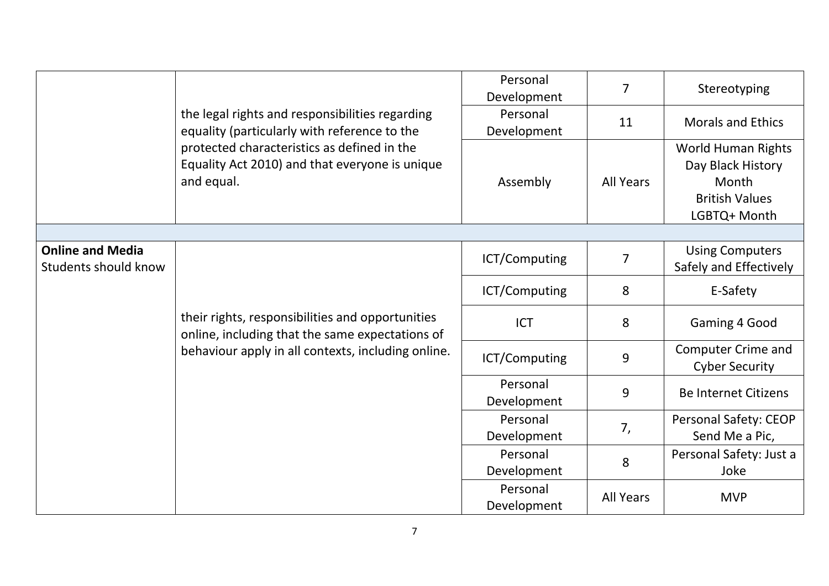|                                                 |                                                                                                             | Personal<br>Development | $\overline{7}$   | Stereotyping                                                                                     |
|-------------------------------------------------|-------------------------------------------------------------------------------------------------------------|-------------------------|------------------|--------------------------------------------------------------------------------------------------|
|                                                 | the legal rights and responsibilities regarding<br>equality (particularly with reference to the             | Personal<br>Development | 11               | <b>Morals and Ethics</b>                                                                         |
|                                                 | protected characteristics as defined in the<br>Equality Act 2010) and that everyone is unique<br>and equal. | Assembly                | <b>All Years</b> | <b>World Human Rights</b><br>Day Black History<br>Month<br><b>British Values</b><br>LGBTQ+ Month |
|                                                 |                                                                                                             |                         |                  |                                                                                                  |
| <b>Online and Media</b><br>Students should know |                                                                                                             | ICT/Computing           | $\overline{7}$   | <b>Using Computers</b><br>Safely and Effectively                                                 |
|                                                 | their rights, responsibilities and opportunities<br>online, including that the same expectations of         | ICT/Computing           | 8                | E-Safety                                                                                         |
|                                                 |                                                                                                             | <b>ICT</b>              | 8                | Gaming 4 Good                                                                                    |
|                                                 | behaviour apply in all contexts, including online.                                                          | ICT/Computing           | 9                | <b>Computer Crime and</b><br><b>Cyber Security</b>                                               |
|                                                 |                                                                                                             | Personal<br>Development | 9                | <b>Be Internet Citizens</b>                                                                      |
|                                                 |                                                                                                             | Personal<br>Development | 7,               | <b>Personal Safety: CEOP</b><br>Send Me a Pic,                                                   |
|                                                 |                                                                                                             | Personal<br>Development | 8                | Personal Safety: Just a<br>Joke                                                                  |
|                                                 |                                                                                                             | Personal<br>Development | <b>All Years</b> | <b>MVP</b>                                                                                       |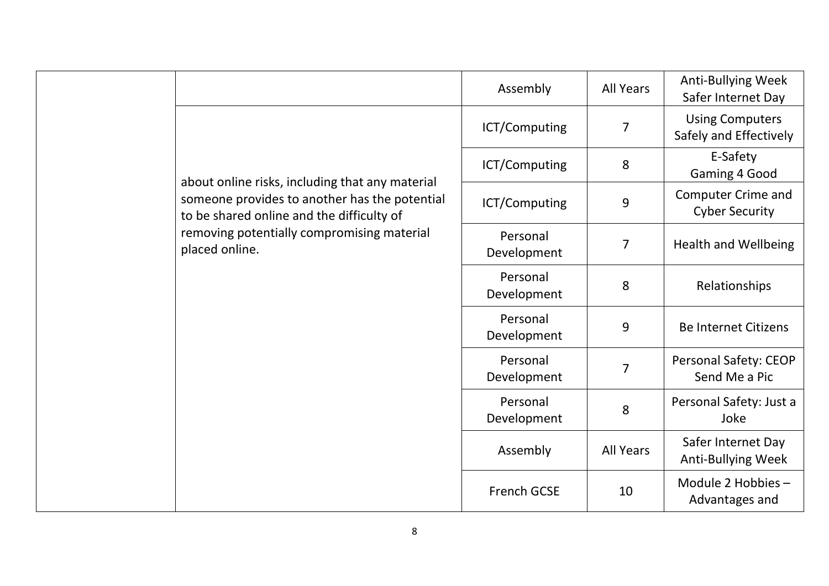|  |                                                                                            | Assembly                | <b>All Years</b> | Anti-Bullying Week<br>Safer Internet Day         |
|--|--------------------------------------------------------------------------------------------|-------------------------|------------------|--------------------------------------------------|
|  |                                                                                            | ICT/Computing           | 7                | <b>Using Computers</b><br>Safely and Effectively |
|  | about online risks, including that any material                                            | ICT/Computing           | 8                | E-Safety<br>Gaming 4 Good                        |
|  | someone provides to another has the potential<br>to be shared online and the difficulty of | ICT/Computing           | 9                | Computer Crime and<br><b>Cyber Security</b>      |
|  | removing potentially compromising material<br>placed online.                               | Personal<br>Development | $\overline{7}$   | <b>Health and Wellbeing</b>                      |
|  |                                                                                            | Personal<br>Development | 8                | Relationships                                    |
|  |                                                                                            | Personal<br>Development | 9                | <b>Be Internet Citizens</b>                      |
|  |                                                                                            | Personal<br>Development | $\overline{7}$   | <b>Personal Safety: CEOP</b><br>Send Me a Pic    |
|  |                                                                                            | Personal<br>Development | 8                | Personal Safety: Just a<br>Joke                  |
|  |                                                                                            | Assembly                | <b>All Years</b> | Safer Internet Day<br><b>Anti-Bullying Week</b>  |
|  |                                                                                            | <b>French GCSE</b>      | 10               | Module 2 Hobbies -<br>Advantages and             |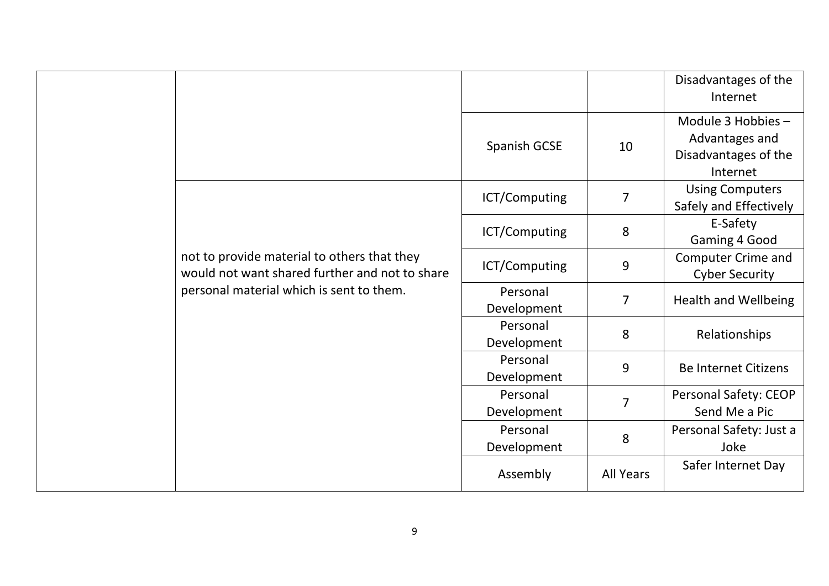|                                                                                               |                         |                  | Disadvantages of the<br>Internet                                         |
|-----------------------------------------------------------------------------------------------|-------------------------|------------------|--------------------------------------------------------------------------|
|                                                                                               | Spanish GCSE            | 10               | Module 3 Hobbies -<br>Advantages and<br>Disadvantages of the<br>Internet |
|                                                                                               | ICT/Computing           | $\overline{7}$   | <b>Using Computers</b><br>Safely and Effectively                         |
|                                                                                               | ICT/Computing           | 8                | E-Safety<br>Gaming 4 Good                                                |
| not to provide material to others that they<br>would not want shared further and not to share | ICT/Computing           | 9                | Computer Crime and<br><b>Cyber Security</b>                              |
| personal material which is sent to them.                                                      | Personal<br>Development | $\overline{7}$   | <b>Health and Wellbeing</b>                                              |
|                                                                                               | Personal<br>Development | 8                | Relationships                                                            |
|                                                                                               | Personal<br>Development | 9                | <b>Be Internet Citizens</b>                                              |
|                                                                                               | Personal<br>Development | $\overline{7}$   | Personal Safety: CEOP<br>Send Me a Pic                                   |
|                                                                                               | Personal<br>Development | 8                | Personal Safety: Just a<br>Joke                                          |
|                                                                                               | Assembly                | <b>All Years</b> | Safer Internet Day                                                       |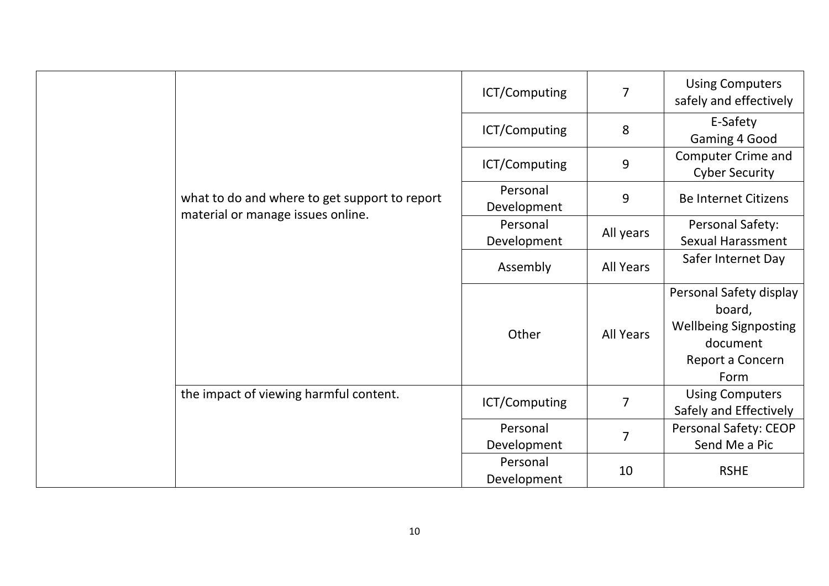|  |                                                                                    | ICT/Computing           | 7                | <b>Using Computers</b><br>safely and effectively                                                          |
|--|------------------------------------------------------------------------------------|-------------------------|------------------|-----------------------------------------------------------------------------------------------------------|
|  |                                                                                    | ICT/Computing           | 8                | E-Safety<br>Gaming 4 Good                                                                                 |
|  |                                                                                    | ICT/Computing           | 9                | <b>Computer Crime and</b><br><b>Cyber Security</b>                                                        |
|  | what to do and where to get support to report<br>material or manage issues online. | Personal<br>Development | 9                | <b>Be Internet Citizens</b>                                                                               |
|  |                                                                                    | Personal<br>Development | All years        | Personal Safety:<br><b>Sexual Harassment</b>                                                              |
|  |                                                                                    | Assembly                | All Years        | Safer Internet Day                                                                                        |
|  |                                                                                    | Other                   | <b>All Years</b> | Personal Safety display<br>board,<br><b>Wellbeing Signposting</b><br>document<br>Report a Concern<br>Form |
|  | the impact of viewing harmful content.                                             | ICT/Computing           | $\overline{7}$   | <b>Using Computers</b><br>Safely and Effectively                                                          |
|  |                                                                                    | Personal<br>Development | $\overline{7}$   | Personal Safety: CEOP<br>Send Me a Pic                                                                    |
|  |                                                                                    | Personal<br>Development | 10               | <b>RSHE</b>                                                                                               |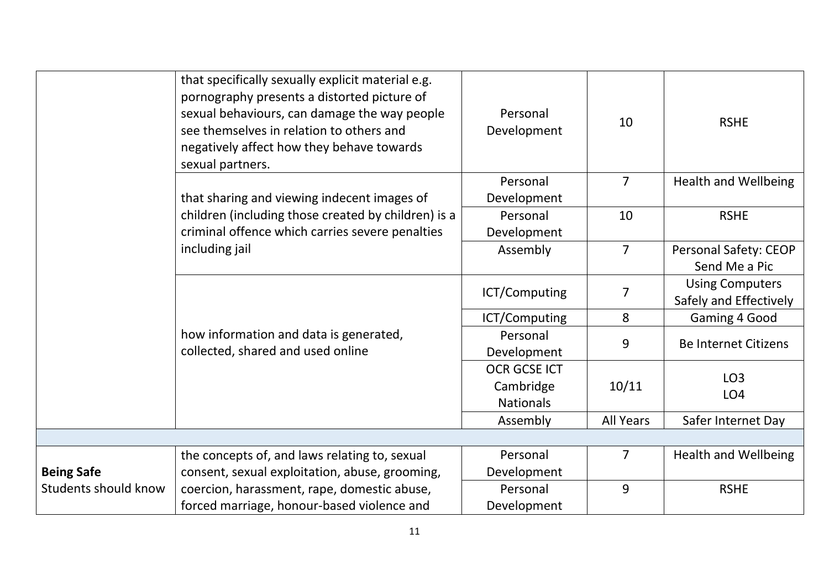|                      | that specifically sexually explicit material e.g.<br>pornography presents a distorted picture of<br>sexual behaviours, can damage the way people<br>see themselves in relation to others and<br>negatively affect how they behave towards<br>sexual partners. | Personal<br>Development       | 10               | <b>RSHE</b>                                      |
|----------------------|---------------------------------------------------------------------------------------------------------------------------------------------------------------------------------------------------------------------------------------------------------------|-------------------------------|------------------|--------------------------------------------------|
|                      | that sharing and viewing indecent images of                                                                                                                                                                                                                   | Personal<br>Development       | $\overline{7}$   | <b>Health and Wellbeing</b>                      |
|                      | children (including those created by children) is a<br>criminal offence which carries severe penalties                                                                                                                                                        | Personal<br>Development       | 10               | <b>RSHE</b>                                      |
|                      | including jail                                                                                                                                                                                                                                                | Assembly                      | $\overline{7}$   | <b>Personal Safety: CEOP</b><br>Send Me a Pic    |
|                      | how information and data is generated,<br>collected, shared and used online                                                                                                                                                                                   | ICT/Computing                 | 7                | <b>Using Computers</b><br>Safely and Effectively |
|                      |                                                                                                                                                                                                                                                               | ICT/Computing                 | 8                | Gaming 4 Good                                    |
|                      |                                                                                                                                                                                                                                                               | Personal<br>Development       | 9                | <b>Be Internet Citizens</b>                      |
|                      |                                                                                                                                                                                                                                                               | <b>OCR GCSE ICT</b>           |                  | LO <sub>3</sub>                                  |
|                      |                                                                                                                                                                                                                                                               | Cambridge<br><b>Nationals</b> | 10/11            | LO <sub>4</sub>                                  |
|                      |                                                                                                                                                                                                                                                               | Assembly                      | <b>All Years</b> | Safer Internet Day                               |
|                      |                                                                                                                                                                                                                                                               |                               |                  |                                                  |
|                      | the concepts of, and laws relating to, sexual                                                                                                                                                                                                                 | Personal                      | $\overline{7}$   | <b>Health and Wellbeing</b>                      |
| <b>Being Safe</b>    | consent, sexual exploitation, abuse, grooming,                                                                                                                                                                                                                | Development                   |                  |                                                  |
| Students should know | coercion, harassment, rape, domestic abuse,                                                                                                                                                                                                                   | Personal                      | 9                | <b>RSHE</b>                                      |
|                      | forced marriage, honour-based violence and                                                                                                                                                                                                                    | Development                   |                  |                                                  |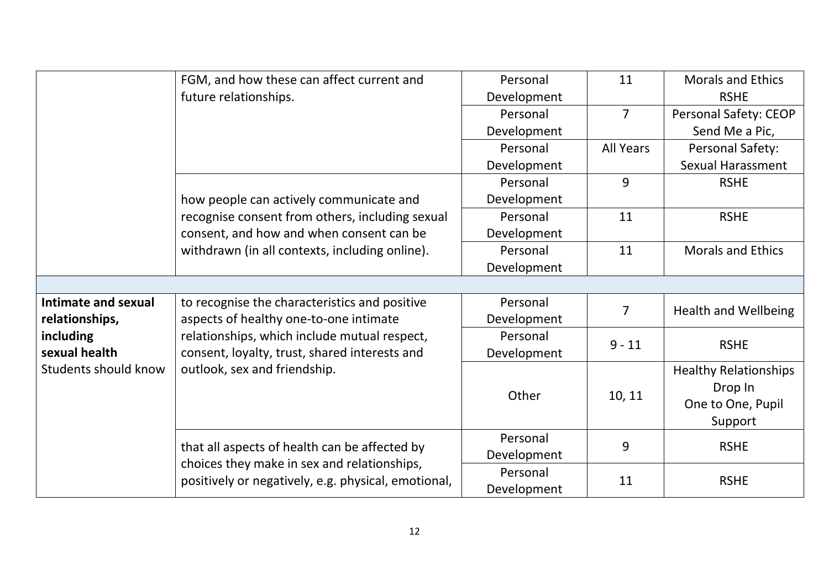|                             | FGM, and how these can affect current and           | Personal    | 11               | <b>Morals and Ethics</b>     |
|-----------------------------|-----------------------------------------------------|-------------|------------------|------------------------------|
|                             | future relationships.                               | Development |                  | <b>RSHE</b>                  |
|                             |                                                     | Personal    | $\overline{7}$   | Personal Safety: CEOP        |
|                             |                                                     | Development |                  | Send Me a Pic,               |
|                             |                                                     | Personal    | <b>All Years</b> | Personal Safety:             |
|                             |                                                     | Development |                  | <b>Sexual Harassment</b>     |
|                             |                                                     | Personal    | 9                | <b>RSHE</b>                  |
|                             | how people can actively communicate and             | Development |                  |                              |
|                             | recognise consent from others, including sexual     | Personal    | 11               | <b>RSHE</b>                  |
|                             | consent, and how and when consent can be            | Development |                  |                              |
|                             | withdrawn (in all contexts, including online).      | Personal    | 11               | <b>Morals and Ethics</b>     |
|                             |                                                     | Development |                  |                              |
|                             |                                                     |             |                  |                              |
| Intimate and sexual         | to recognise the characteristics and positive       | Personal    | $\overline{7}$   | <b>Health and Wellbeing</b>  |
| relationships,              | aspects of healthy one-to-one intimate              | Development |                  |                              |
| including                   | relationships, which include mutual respect,        | Personal    | $9 - 11$         | <b>RSHE</b>                  |
| sexual health               | consent, loyalty, trust, shared interests and       | Development |                  |                              |
| <b>Students should know</b> | outlook, sex and friendship.                        |             |                  | <b>Healthy Relationships</b> |
|                             |                                                     | Other       |                  | Drop In                      |
|                             |                                                     |             | 10, 11           | One to One, Pupil            |
|                             |                                                     |             |                  | Support                      |
|                             |                                                     | Personal    | 9                |                              |
|                             | that all aspects of health can be affected by       | Development |                  | <b>RSHE</b>                  |
|                             | choices they make in sex and relationships,         | Personal    | 11               |                              |
|                             | positively or negatively, e.g. physical, emotional, | Development |                  | <b>RSHE</b>                  |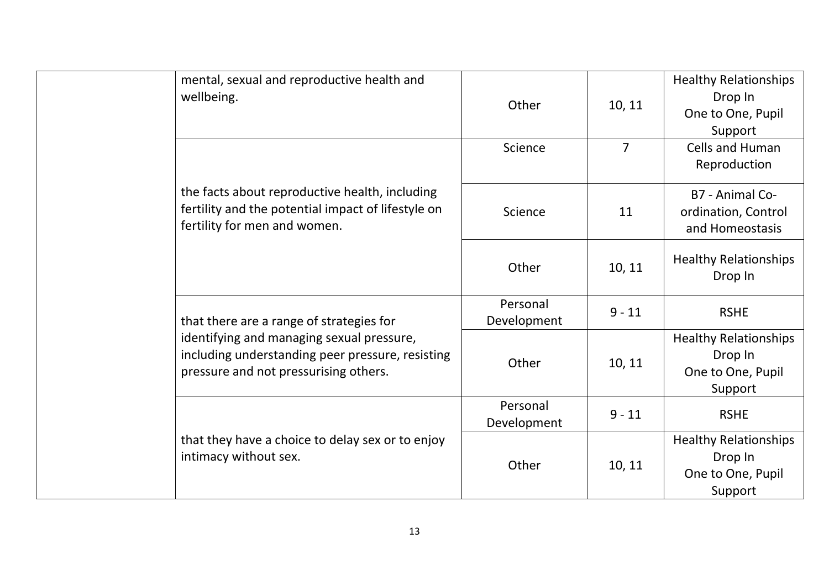|  | mental, sexual and reproductive health and<br>wellbeing.                                                                               | Other                   | 10, 11         | <b>Healthy Relationships</b><br>Drop In<br>One to One, Pupil<br>Support |
|--|----------------------------------------------------------------------------------------------------------------------------------------|-------------------------|----------------|-------------------------------------------------------------------------|
|  |                                                                                                                                        | Science                 | $\overline{7}$ | <b>Cells and Human</b><br>Reproduction                                  |
|  | the facts about reproductive health, including<br>fertility and the potential impact of lifestyle on<br>fertility for men and women.   | Science                 | 11             | B7 - Animal Co-<br>ordination, Control<br>and Homeostasis               |
|  |                                                                                                                                        | Other                   | 10, 11         | <b>Healthy Relationships</b><br>Drop In                                 |
|  | that there are a range of strategies for                                                                                               | Personal<br>Development | $9 - 11$       | <b>RSHE</b>                                                             |
|  | identifying and managing sexual pressure,<br>including understanding peer pressure, resisting<br>pressure and not pressurising others. | Other                   | 10, 11         | <b>Healthy Relationships</b><br>Drop In<br>One to One, Pupil<br>Support |
|  |                                                                                                                                        | Personal<br>Development | $9 - 11$       | <b>RSHE</b>                                                             |
|  | that they have a choice to delay sex or to enjoy<br>intimacy without sex.                                                              | Other                   | 10, 11         | <b>Healthy Relationships</b><br>Drop In<br>One to One, Pupil<br>Support |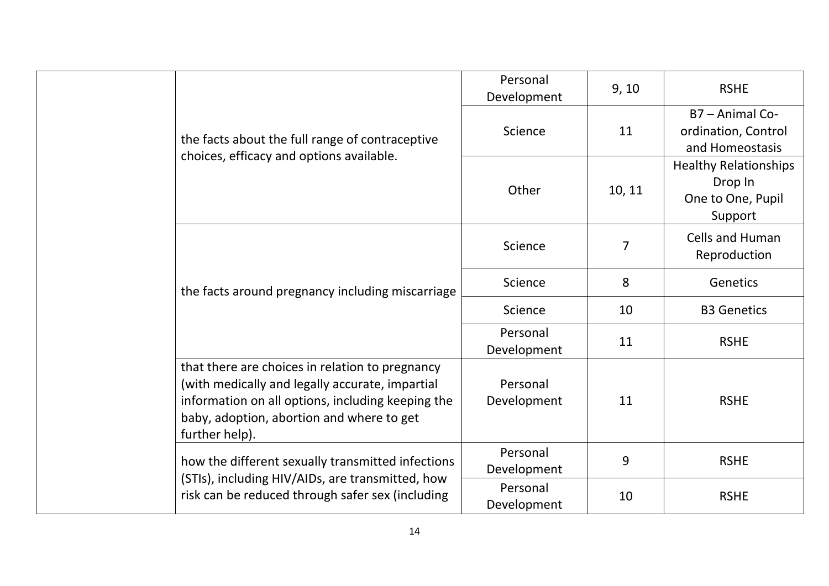|  |                                                                                                                                                                                                                        | Personal<br>9, 10<br>Development<br>11<br>Science | <b>RSHE</b>                                                                                                                                                                                  |                                                   |
|--|------------------------------------------------------------------------------------------------------------------------------------------------------------------------------------------------------------------------|---------------------------------------------------|----------------------------------------------------------------------------------------------------------------------------------------------------------------------------------------------|---------------------------------------------------|
|  | the facts about the full range of contraceptive                                                                                                                                                                        |                                                   | B7 - Animal Co-<br>ordination, Control<br>and Homeostasis                                                                                                                                    |                                                   |
|  | choices, efficacy and options available.                                                                                                                                                                               | Other                                             | Drop In<br>10, 11<br>Support<br>Cells and Human<br>$\overline{7}$<br>Reproduction<br>8<br>Genetics<br>10<br><b>B3 Genetics</b><br>11<br><b>RSHE</b><br><b>RSHE</b><br>11<br>9<br><b>RSHE</b> | <b>Healthy Relationships</b><br>One to One, Pupil |
|  |                                                                                                                                                                                                                        | Science                                           |                                                                                                                                                                                              |                                                   |
|  | the facts around pregnancy including miscarriage                                                                                                                                                                       | Science                                           |                                                                                                                                                                                              |                                                   |
|  |                                                                                                                                                                                                                        | Science                                           |                                                                                                                                                                                              |                                                   |
|  |                                                                                                                                                                                                                        | Personal<br>Development                           |                                                                                                                                                                                              |                                                   |
|  | that there are choices in relation to pregnancy<br>(with medically and legally accurate, impartial<br>information on all options, including keeping the<br>baby, adoption, abortion and where to get<br>further help). | Personal<br>Development                           |                                                                                                                                                                                              |                                                   |
|  | how the different sexually transmitted infections                                                                                                                                                                      | Personal<br>Development                           |                                                                                                                                                                                              |                                                   |
|  | (STIs), including HIV/AIDs, are transmitted, how<br>risk can be reduced through safer sex (including                                                                                                                   | Personal<br>Development                           | 10                                                                                                                                                                                           | <b>RSHE</b>                                       |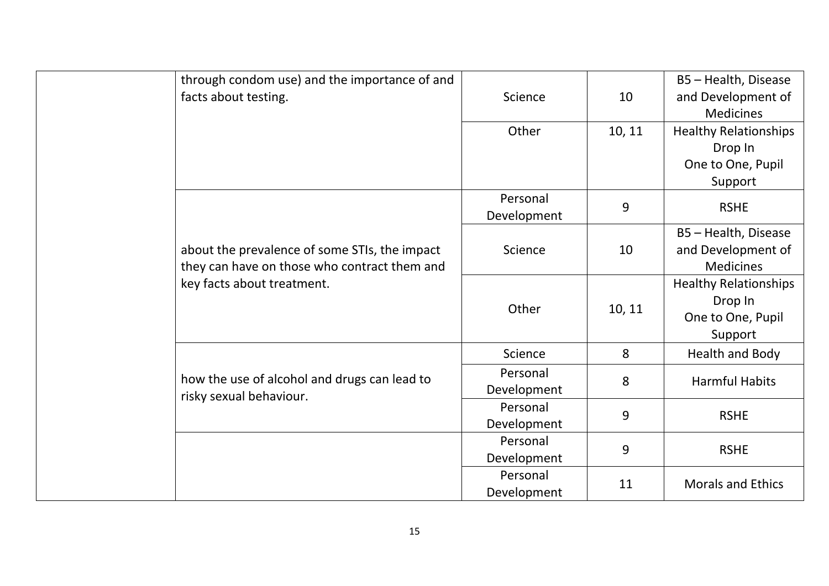|  | through condom use) and the importance of and |             |                              | B5 - Health, Disease         |
|--|-----------------------------------------------|-------------|------------------------------|------------------------------|
|  | facts about testing.                          | Science     | 10                           | and Development of           |
|  |                                               |             |                              | <b>Medicines</b>             |
|  |                                               | Other       | 10, 11                       | <b>Healthy Relationships</b> |
|  |                                               |             |                              | Drop In                      |
|  |                                               |             |                              | One to One, Pupil            |
|  |                                               |             |                              | Support                      |
|  |                                               | Personal    | 9                            | <b>RSHE</b>                  |
|  |                                               | Development |                              |                              |
|  |                                               |             |                              | B5 - Health, Disease         |
|  | about the prevalence of some STIs, the impact | Science     | 10                           | and Development of           |
|  | they can have on those who contract them and  |             |                              | <b>Medicines</b>             |
|  | key facts about treatment.                    |             | <b>Healthy Relationships</b> |                              |
|  |                                               | Other       | 10, 11                       | Drop In                      |
|  |                                               |             |                              | One to One, Pupil            |
|  |                                               |             |                              | Support                      |
|  |                                               | Science     | 8                            | Health and Body              |
|  | how the use of alcohol and drugs can lead to  | Personal    | 8                            | <b>Harmful Habits</b>        |
|  | risky sexual behaviour.                       | Development |                              |                              |
|  |                                               | Personal    | 9                            | <b>RSHE</b>                  |
|  |                                               | Development |                              |                              |
|  |                                               | Personal    | 9                            | <b>RSHE</b>                  |
|  |                                               | Development |                              |                              |
|  |                                               | Personal    | 11                           | <b>Morals and Ethics</b>     |
|  |                                               | Development |                              |                              |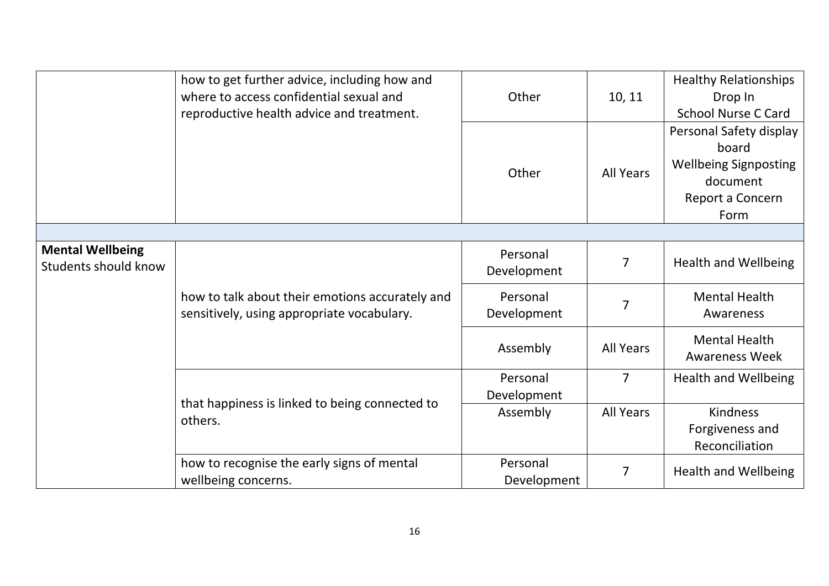|                                                 | how to get further advice, including how and<br>where to access confidential sexual and<br>reproductive health advice and treatment. | Other                   | 10, 11           | <b>Healthy Relationships</b><br>Drop In<br><b>School Nurse C Card</b>                                    |
|-------------------------------------------------|--------------------------------------------------------------------------------------------------------------------------------------|-------------------------|------------------|----------------------------------------------------------------------------------------------------------|
|                                                 |                                                                                                                                      | Other                   | <b>All Years</b> | Personal Safety display<br>board<br><b>Wellbeing Signposting</b><br>document<br>Report a Concern<br>Form |
|                                                 |                                                                                                                                      |                         |                  |                                                                                                          |
| <b>Mental Wellbeing</b><br>Students should know |                                                                                                                                      | Personal<br>Development | 7                | <b>Health and Wellbeing</b>                                                                              |
|                                                 | how to talk about their emotions accurately and<br>sensitively, using appropriate vocabulary.                                        | Personal<br>Development | $\overline{7}$   | <b>Mental Health</b><br>Awareness                                                                        |
|                                                 |                                                                                                                                      | Assembly                | <b>All Years</b> | <b>Mental Health</b><br><b>Awareness Week</b>                                                            |
|                                                 |                                                                                                                                      | Personal<br>Development | $\overline{7}$   | <b>Health and Wellbeing</b>                                                                              |
|                                                 | that happiness is linked to being connected to<br>others.                                                                            | Assembly                | <b>All Years</b> | <b>Kindness</b><br>Forgiveness and<br>Reconciliation                                                     |
|                                                 | how to recognise the early signs of mental<br>wellbeing concerns.                                                                    | Personal<br>Development | $\overline{7}$   | <b>Health and Wellbeing</b>                                                                              |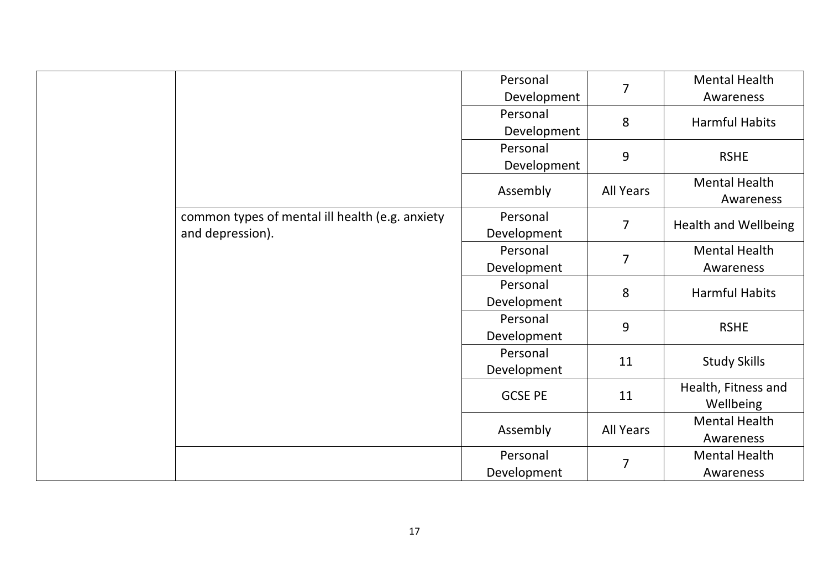|                                                 | Personal       | $\overline{7}$   | <b>Mental Health</b>              |
|-------------------------------------------------|----------------|------------------|-----------------------------------|
|                                                 | Development    |                  | Awareness                         |
|                                                 | Personal       | 8                | <b>Harmful Habits</b>             |
|                                                 | Development    |                  |                                   |
|                                                 | Personal       | 9                | <b>RSHE</b>                       |
|                                                 | Development    |                  |                                   |
|                                                 | Assembly       | <b>All Years</b> | <b>Mental Health</b><br>Awareness |
| common types of mental ill health (e.g. anxiety | Personal       | $\overline{7}$   |                                   |
| and depression).                                | Development    |                  | <b>Health and Wellbeing</b>       |
|                                                 | Personal       | $\overline{7}$   | <b>Mental Health</b>              |
|                                                 | Development    |                  | Awareness                         |
|                                                 | Personal       | 8                | <b>Harmful Habits</b>             |
|                                                 | Development    |                  |                                   |
|                                                 | Personal       | 9                | <b>RSHE</b>                       |
|                                                 | Development    |                  |                                   |
|                                                 | Personal       | 11               | <b>Study Skills</b>               |
|                                                 | Development    |                  |                                   |
|                                                 | <b>GCSE PE</b> | 11               | Health, Fitness and<br>Wellbeing  |
|                                                 |                |                  | <b>Mental Health</b>              |
|                                                 | Assembly       | <b>All Years</b> | Awareness                         |
|                                                 | Personal       |                  | <b>Mental Health</b>              |
|                                                 | Development    | 7                | Awareness                         |
|                                                 |                |                  |                                   |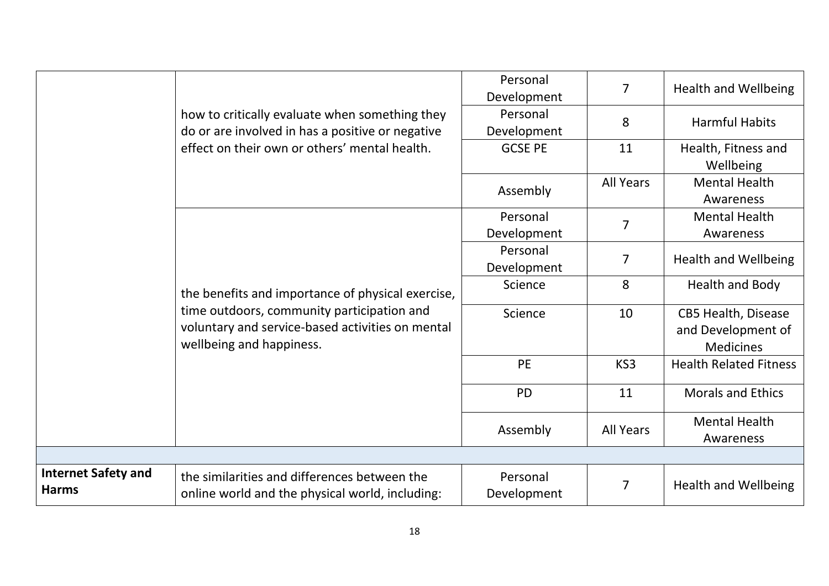|                                                   |                                                                                                                            | Personal<br>Development | $\overline{7}$   | <b>Health and Wellbeing</b>                                          |
|---------------------------------------------------|----------------------------------------------------------------------------------------------------------------------------|-------------------------|------------------|----------------------------------------------------------------------|
|                                                   | how to critically evaluate when something they<br>do or are involved in has a positive or negative                         | Personal<br>Development | 8                | <b>Harmful Habits</b>                                                |
|                                                   | effect on their own or others' mental health.                                                                              | <b>GCSE PE</b>          | 11               | Health, Fitness and<br>Wellbeing                                     |
|                                                   |                                                                                                                            | Assembly                | <b>All Years</b> | <b>Mental Health</b><br>Awareness                                    |
|                                                   |                                                                                                                            | Personal<br>Development | $\overline{7}$   | <b>Mental Health</b><br>Awareness                                    |
|                                                   |                                                                                                                            | Personal<br>Development | $\overline{7}$   | <b>Health and Wellbeing</b>                                          |
| the benefits and importance of physical exercise, | Science                                                                                                                    | 8                       | Health and Body  |                                                                      |
|                                                   | time outdoors, community participation and<br>voluntary and service-based activities on mental<br>wellbeing and happiness. | Science                 | 10               | <b>CB5 Health, Disease</b><br>and Development of<br><b>Medicines</b> |
|                                                   |                                                                                                                            | <b>PE</b>               | KS <sub>3</sub>  | <b>Health Related Fitness</b>                                        |
|                                                   |                                                                                                                            | <b>PD</b>               | 11               | <b>Morals and Ethics</b>                                             |
|                                                   |                                                                                                                            | Assembly                | <b>All Years</b> | <b>Mental Health</b><br>Awareness                                    |
|                                                   |                                                                                                                            |                         |                  |                                                                      |
| <b>Internet Safety and</b><br><b>Harms</b>        | the similarities and differences between the<br>online world and the physical world, including:                            | Personal<br>Development | 7                | <b>Health and Wellbeing</b>                                          |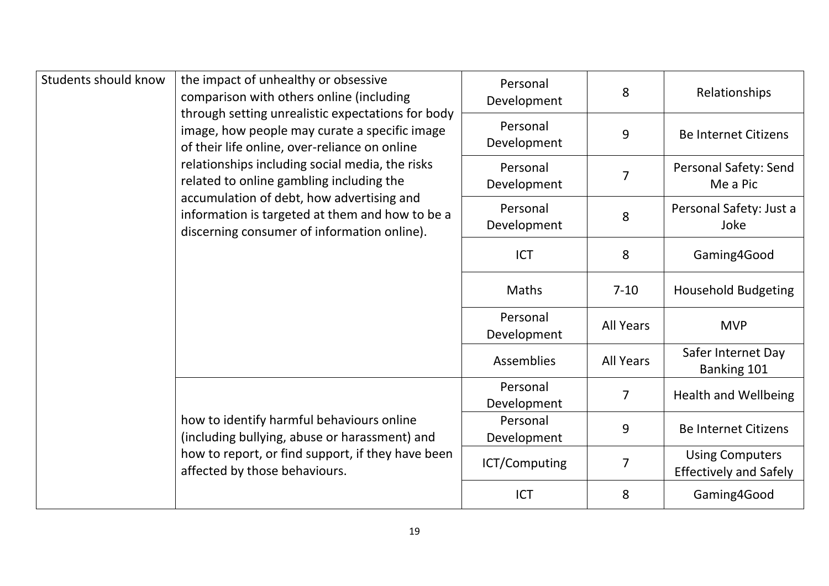| Students should know | the impact of unhealthy or obsessive<br>comparison with others online (including                                                                                                 | Personal<br>Development | 8                          | Relationships                                           |
|----------------------|----------------------------------------------------------------------------------------------------------------------------------------------------------------------------------|-------------------------|----------------------------|---------------------------------------------------------|
|                      | through setting unrealistic expectations for body<br>image, how people may curate a specific image<br>of their life online, over-reliance on online                              | Personal<br>Development | 9                          | <b>Be Internet Citizens</b>                             |
|                      | relationships including social media, the risks<br>related to online gambling including the                                                                                      | Personal<br>Development | 7                          | Personal Safety: Send<br>Me a Pic                       |
|                      | accumulation of debt, how advertising and<br>information is targeted at them and how to be a<br>discerning consumer of information online).                                      | Personal<br>Development | 8                          | Personal Safety: Just a<br>Joke                         |
|                      | <b>ICT</b>                                                                                                                                                                       | 8                       | Gaming4Good                |                                                         |
|                      | <b>Maths</b>                                                                                                                                                                     | $7 - 10$                | <b>Household Budgeting</b> |                                                         |
|                      |                                                                                                                                                                                  | Personal<br>Development | <b>All Years</b>           | <b>MVP</b>                                              |
|                      |                                                                                                                                                                                  | <b>Assemblies</b>       | <b>All Years</b>           | Safer Internet Day<br>Banking 101                       |
|                      |                                                                                                                                                                                  | Personal<br>Development | $\overline{7}$             | <b>Health and Wellbeing</b>                             |
|                      | how to identify harmful behaviours online<br>(including bullying, abuse or harassment) and<br>how to report, or find support, if they have been<br>affected by those behaviours. | Personal<br>Development | 9                          | <b>Be Internet Citizens</b>                             |
|                      |                                                                                                                                                                                  | ICT/Computing           | 7                          | <b>Using Computers</b><br><b>Effectively and Safely</b> |
|                      |                                                                                                                                                                                  | <b>ICT</b>              | 8                          | Gaming4Good                                             |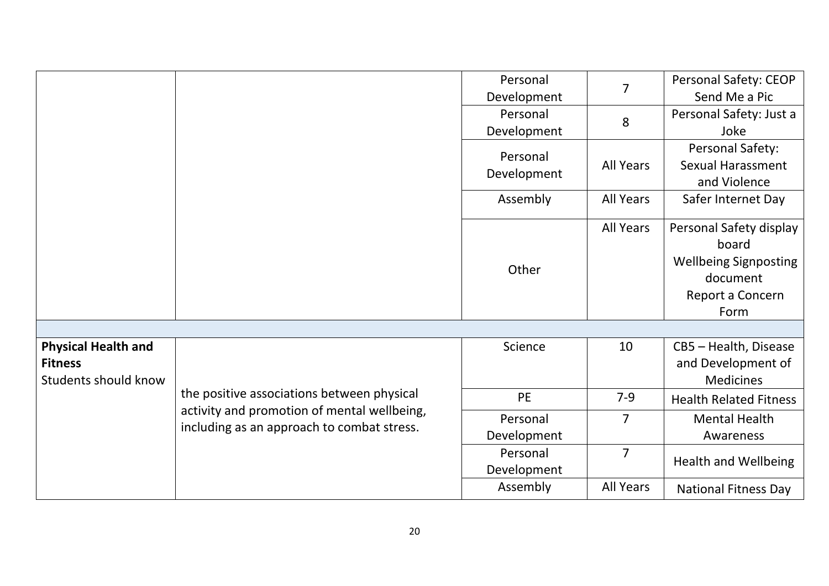|                            |                                             | Personal    | $\overline{7}$   | Personal Safety: CEOP            |
|----------------------------|---------------------------------------------|-------------|------------------|----------------------------------|
|                            |                                             | Development |                  | Send Me a Pic                    |
|                            |                                             | Personal    | 8                | Personal Safety: Just a          |
|                            |                                             | Development |                  | Joke                             |
|                            |                                             | Personal    |                  | Personal Safety:                 |
|                            |                                             |             | <b>All Years</b> | <b>Sexual Harassment</b>         |
|                            |                                             | Development |                  | and Violence                     |
|                            |                                             | Assembly    | <b>All Years</b> | Safer Internet Day               |
|                            |                                             |             | <b>All Years</b> | Personal Safety display<br>board |
|                            |                                             |             |                  | <b>Wellbeing Signposting</b>     |
|                            |                                             | Other       |                  | document                         |
|                            |                                             |             |                  | Report a Concern                 |
|                            |                                             |             |                  | Form                             |
|                            |                                             |             |                  |                                  |
| <b>Physical Health and</b> |                                             | Science     | 10               | CB5 - Health, Disease            |
| <b>Fitness</b>             |                                             |             |                  | and Development of               |
| Students should know       |                                             |             |                  | <b>Medicines</b>                 |
|                            | the positive associations between physical  | PE          | $7-9$            | <b>Health Related Fitness</b>    |
|                            | activity and promotion of mental wellbeing, | Personal    | $\overline{7}$   | <b>Mental Health</b>             |
|                            | including as an approach to combat stress.  | Development |                  | Awareness                        |
|                            |                                             | Personal    | $\overline{7}$   |                                  |
|                            |                                             | Development |                  | <b>Health and Wellbeing</b>      |
|                            |                                             | Assembly    | <b>All Years</b> | <b>National Fitness Day</b>      |
|                            |                                             |             |                  |                                  |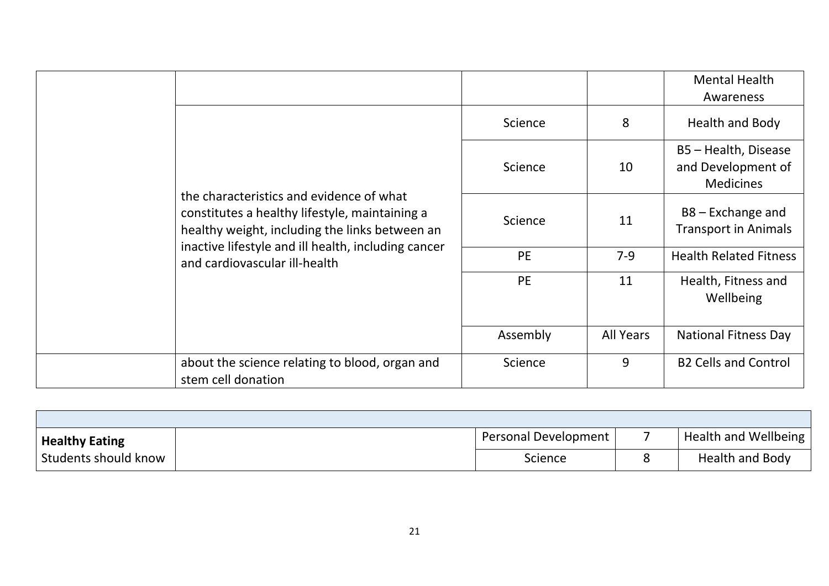|  |                                                                                                                                              |               |                                                    | <b>Mental Health</b><br>Awareness                              |
|--|----------------------------------------------------------------------------------------------------------------------------------------------|---------------|----------------------------------------------------|----------------------------------------------------------------|
|  |                                                                                                                                              | Science       | 8                                                  | Health and Body                                                |
|  |                                                                                                                                              | Science       | 10                                                 | B5 - Health, Disease<br>and Development of<br><b>Medicines</b> |
|  | the characteristics and evidence of what<br>constitutes a healthy lifestyle, maintaining a<br>healthy weight, including the links between an | Science<br>11 | $B8 -$ Exchange and<br><b>Transport in Animals</b> |                                                                |
|  | inactive lifestyle and ill health, including cancer<br>and cardiovascular ill-health                                                         | <b>PE</b>     | $7-9$                                              | <b>Health Related Fitness</b>                                  |
|  |                                                                                                                                              | PE<br>11      | Health, Fitness and<br>Wellbeing                   |                                                                |
|  |                                                                                                                                              | Assembly      | <b>All Years</b>                                   | <b>National Fitness Day</b>                                    |
|  | about the science relating to blood, organ and<br>stem cell donation                                                                         | Science       | 9                                                  | <b>B2 Cells and Control</b>                                    |

| <b>Healthy Eating</b> | Personal Development | Health and Wellbeing   |
|-----------------------|----------------------|------------------------|
| Students should know  | Science              | <b>Health and Body</b> |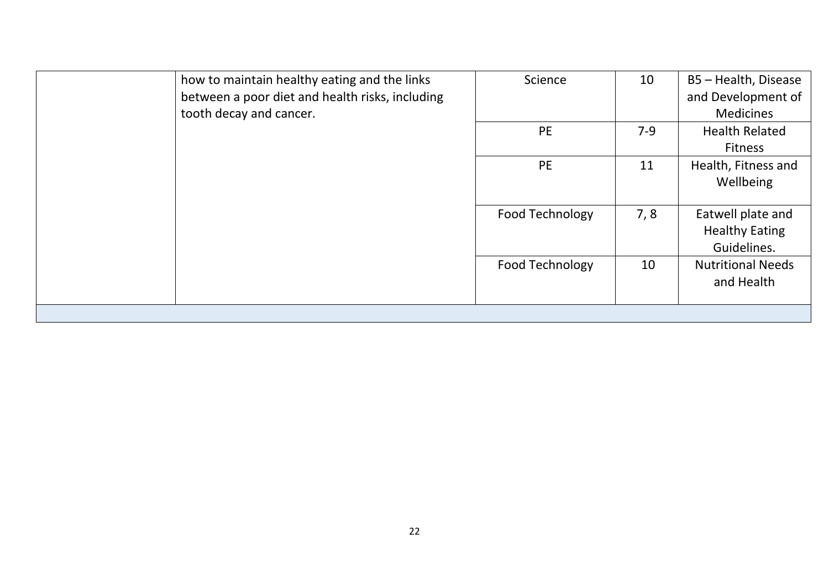| how to maintain healthy eating and the links<br>between a poor diet and health risks, including<br>tooth decay and cancer. | Science                | 10    | B5 - Health, Disease<br>and Development of<br><b>Medicines</b> |
|----------------------------------------------------------------------------------------------------------------------------|------------------------|-------|----------------------------------------------------------------|
|                                                                                                                            | <b>PE</b>              | $7-9$ | <b>Health Related</b><br><b>Fitness</b>                        |
|                                                                                                                            | <b>PE</b>              | 11    | Health, Fitness and<br>Wellbeing                               |
|                                                                                                                            | Food Technology        | 7,8   | Eatwell plate and<br><b>Healthy Eating</b><br>Guidelines.      |
|                                                                                                                            | <b>Food Technology</b> | 10    | <b>Nutritional Needs</b><br>and Health                         |
|                                                                                                                            |                        |       |                                                                |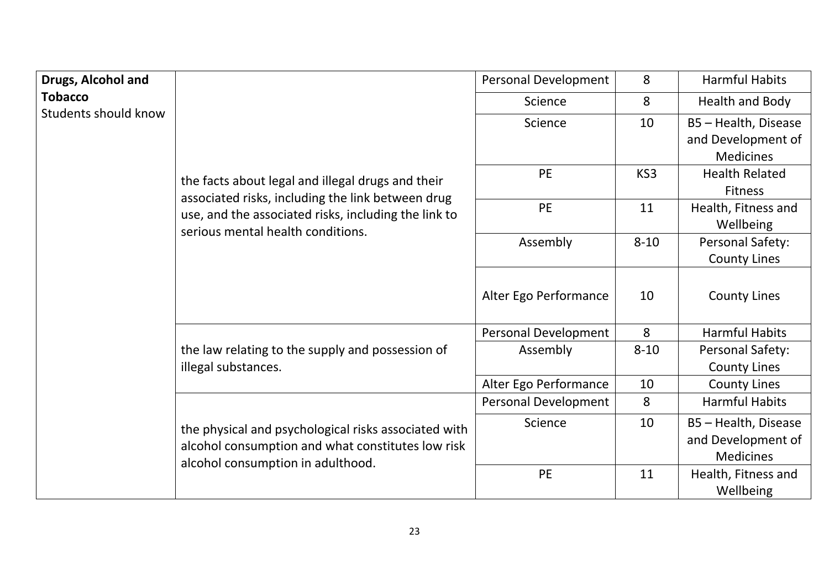| Drugs, Alcohol and                     |                                                                                                                                                | Personal Development  | 8                                                              | <b>Harmful Habits</b>                                          |
|----------------------------------------|------------------------------------------------------------------------------------------------------------------------------------------------|-----------------------|----------------------------------------------------------------|----------------------------------------------------------------|
| <b>Tobacco</b><br>Students should know |                                                                                                                                                | Science               | 8                                                              | Health and Body                                                |
|                                        | Science                                                                                                                                        | 10                    | B5 - Health, Disease<br>and Development of<br><b>Medicines</b> |                                                                |
|                                        | the facts about legal and illegal drugs and their                                                                                              | PE                    | KS3                                                            | <b>Health Related</b><br><b>Fitness</b>                        |
|                                        | associated risks, including the link between drug<br>use, and the associated risks, including the link to<br>serious mental health conditions. | PE                    | 11                                                             | Health, Fitness and<br>Wellbeing                               |
|                                        |                                                                                                                                                | Assembly              | $8 - 10$                                                       | Personal Safety:<br><b>County Lines</b>                        |
|                                        |                                                                                                                                                | Alter Ego Performance | 10                                                             | <b>County Lines</b>                                            |
|                                        |                                                                                                                                                | Personal Development  | 8                                                              | <b>Harmful Habits</b>                                          |
|                                        | the law relating to the supply and possession of<br>illegal substances.                                                                        | Assembly              | $8 - 10$                                                       | Personal Safety:<br><b>County Lines</b>                        |
|                                        |                                                                                                                                                | Alter Ego Performance | 10                                                             | <b>County Lines</b>                                            |
|                                        |                                                                                                                                                | Personal Development  | 8                                                              | <b>Harmful Habits</b>                                          |
|                                        | the physical and psychological risks associated with<br>alcohol consumption and what constitutes low risk<br>alcohol consumption in adulthood. | Science               | 10                                                             | B5 - Health, Disease<br>and Development of<br><b>Medicines</b> |
|                                        |                                                                                                                                                | PE                    | 11                                                             | Health, Fitness and<br>Wellbeing                               |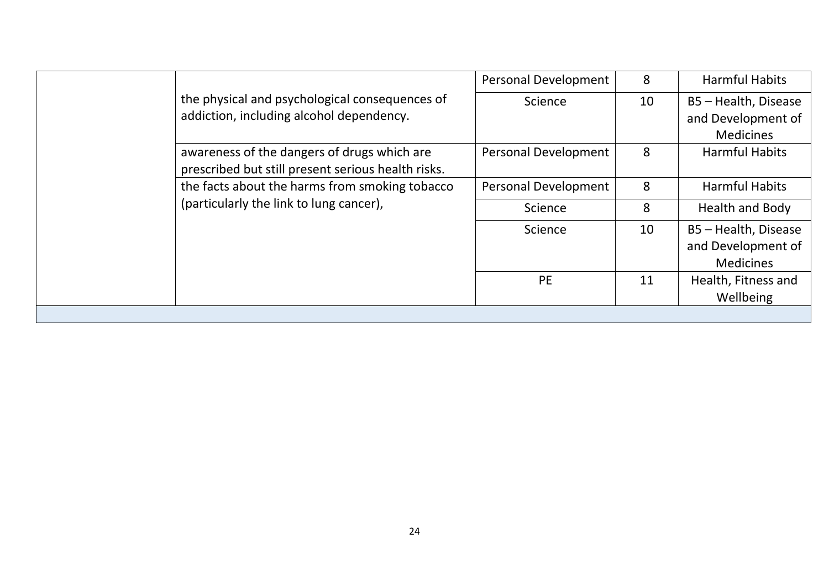|  | the physical and psychological consequences of<br>addiction, including alcohol dependency. | Personal Development | 8  | <b>Harmful Habits</b> |
|--|--------------------------------------------------------------------------------------------|----------------------|----|-----------------------|
|  |                                                                                            | Science              | 10 | B5 - Health, Disease  |
|  |                                                                                            |                      |    | and Development of    |
|  |                                                                                            |                      |    | <b>Medicines</b>      |
|  | awareness of the dangers of drugs which are                                                | Personal Development | 8  | <b>Harmful Habits</b> |
|  | prescribed but still present serious health risks.                                         |                      |    |                       |
|  | the facts about the harms from smoking tobacco<br>(particularly the link to lung cancer),  | Personal Development | 8  | <b>Harmful Habits</b> |
|  |                                                                                            | Science              | 8  | Health and Body       |
|  |                                                                                            | Science              | 10 | B5 - Health, Disease  |
|  |                                                                                            |                      |    | and Development of    |
|  |                                                                                            |                      |    | <b>Medicines</b>      |
|  |                                                                                            | <b>PE</b>            | 11 | Health, Fitness and   |
|  |                                                                                            |                      |    | Wellbeing             |
|  |                                                                                            |                      |    |                       |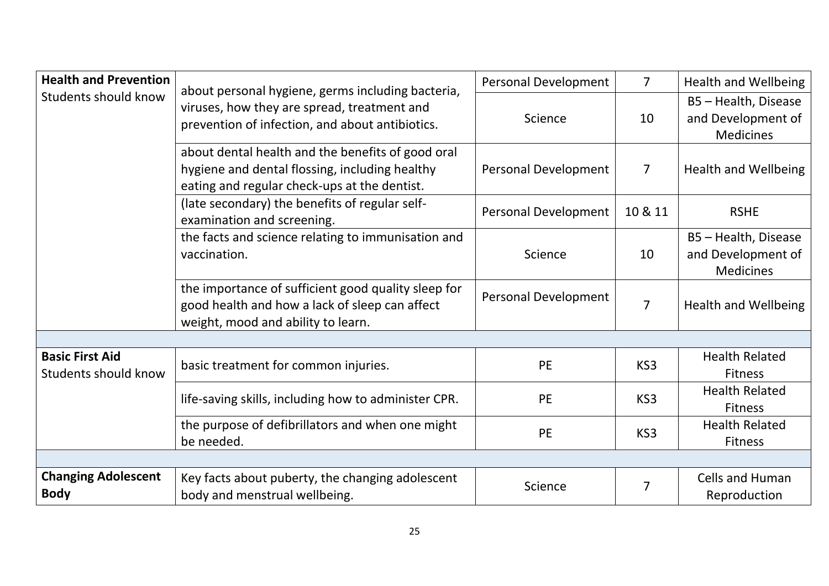| <b>Health and Prevention</b>                   | about personal hygiene, germs including bacteria,<br>viruses, how they are spread, treatment and<br>prevention of infection, and about antibiotics. | Personal Development | $\overline{7}$ | <b>Health and Wellbeing</b>                                    |
|------------------------------------------------|-----------------------------------------------------------------------------------------------------------------------------------------------------|----------------------|----------------|----------------------------------------------------------------|
| <b>Students should know</b>                    |                                                                                                                                                     | Science              | 10             | B5 - Health, Disease<br>and Development of<br><b>Medicines</b> |
|                                                | about dental health and the benefits of good oral<br>hygiene and dental flossing, including healthy<br>eating and regular check-ups at the dentist. | Personal Development | 7              | <b>Health and Wellbeing</b>                                    |
|                                                | (late secondary) the benefits of regular self-<br>examination and screening.                                                                        | Personal Development | 10 & 11        | <b>RSHE</b>                                                    |
|                                                | the facts and science relating to immunisation and<br>vaccination.                                                                                  | Science              | 10             | B5 - Health, Disease<br>and Development of<br><b>Medicines</b> |
|                                                | the importance of sufficient good quality sleep for<br>good health and how a lack of sleep can affect<br>weight, mood and ability to learn.         | Personal Development | 7              | <b>Health and Wellbeing</b>                                    |
|                                                |                                                                                                                                                     |                      |                |                                                                |
| <b>Basic First Aid</b><br>Students should know | basic treatment for common injuries.                                                                                                                | <b>PE</b>            | KS3            | <b>Health Related</b><br><b>Fitness</b>                        |
|                                                | life-saving skills, including how to administer CPR.                                                                                                | <b>PE</b>            | KS3            | <b>Health Related</b><br><b>Fitness</b>                        |
|                                                | the purpose of defibrillators and when one might<br>be needed.                                                                                      | <b>PE</b>            | KS3            | <b>Health Related</b><br><b>Fitness</b>                        |
|                                                |                                                                                                                                                     |                      |                |                                                                |
| <b>Changing Adolescent</b><br><b>Body</b>      | Key facts about puberty, the changing adolescent<br>body and menstrual wellbeing.                                                                   | Science              |                | <b>Cells and Human</b><br>Reproduction                         |